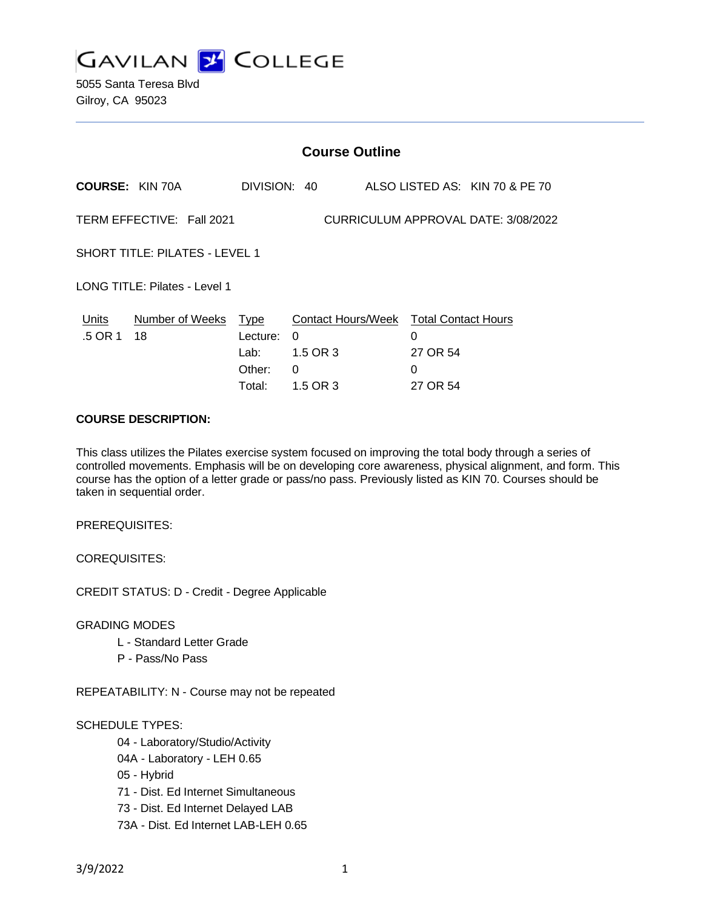

|                                                                  | <b>Course Outline</b>       |                |                                                         |  |               |                                |  |
|------------------------------------------------------------------|-----------------------------|----------------|---------------------------------------------------------|--|---------------|--------------------------------|--|
|                                                                  | <b>COURSE: KIN 70A</b>      | DIVISION: 40   |                                                         |  |               | ALSO LISTED AS: KIN 70 & PE 70 |  |
| CURRICULUM APPROVAL DATE: 3/08/2022<br>TERM EFFECTIVE: Fall 2021 |                             |                |                                                         |  |               |                                |  |
| SHORT TITLE: PILATES - LEVEL 1                                   |                             |                |                                                         |  |               |                                |  |
| LONG TITLE: Pilates - Level 1                                    |                             |                |                                                         |  |               |                                |  |
| Units<br>.5 OR 1                                                 | Number of Weeks Type<br>-18 | Lecture:       | Contact Hours/Week Total Contact Hours<br>0<br>1.5 OR 3 |  | 0<br>27 OR 54 |                                |  |
|                                                                  |                             | Lab:<br>Other: | 0                                                       |  | 0             |                                |  |
|                                                                  |                             | Total:         | 1.5 OR 3                                                |  | 27 OR 54      |                                |  |

#### **COURSE DESCRIPTION:**

This class utilizes the Pilates exercise system focused on improving the total body through a series of controlled movements. Emphasis will be on developing core awareness, physical alignment, and form. This course has the option of a letter grade or pass/no pass. Previously listed as KIN 70. Courses should be taken in sequential order.

PREREQUISITES:

COREQUISITES:

CREDIT STATUS: D - Credit - Degree Applicable

GRADING MODES

- L Standard Letter Grade
- P Pass/No Pass

REPEATABILITY: N - Course may not be repeated

#### SCHEDULE TYPES:

- 04 Laboratory/Studio/Activity
- 04A Laboratory LEH 0.65
- 05 Hybrid
- 71 Dist. Ed Internet Simultaneous
- 73 Dist. Ed Internet Delayed LAB
- 73A Dist. Ed Internet LAB-LEH 0.65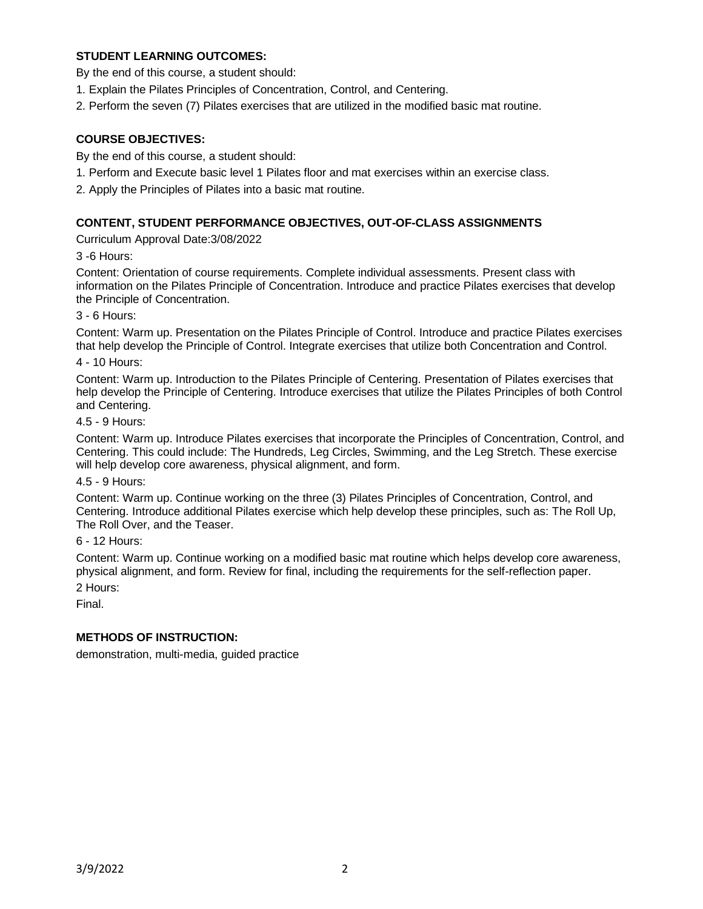# **STUDENT LEARNING OUTCOMES:**

By the end of this course, a student should:

- 1. Explain the Pilates Principles of Concentration, Control, and Centering.
- 2. Perform the seven (7) Pilates exercises that are utilized in the modified basic mat routine.

### **COURSE OBJECTIVES:**

By the end of this course, a student should:

- 1. Perform and Execute basic level 1 Pilates floor and mat exercises within an exercise class.
- 2. Apply the Principles of Pilates into a basic mat routine.

### **CONTENT, STUDENT PERFORMANCE OBJECTIVES, OUT-OF-CLASS ASSIGNMENTS**

Curriculum Approval Date:3/08/2022

3 -6 Hours:

Content: Orientation of course requirements. Complete individual assessments. Present class with information on the Pilates Principle of Concentration. Introduce and practice Pilates exercises that develop the Principle of Concentration.

3 - 6 Hours:

Content: Warm up. Presentation on the Pilates Principle of Control. Introduce and practice Pilates exercises that help develop the Principle of Control. Integrate exercises that utilize both Concentration and Control.

4 - 10 Hours:

Content: Warm up. Introduction to the Pilates Principle of Centering. Presentation of Pilates exercises that help develop the Principle of Centering. Introduce exercises that utilize the Pilates Principles of both Control and Centering.

4.5 - 9 Hours:

Content: Warm up. Introduce Pilates exercises that incorporate the Principles of Concentration, Control, and Centering. This could include: The Hundreds, Leg Circles, Swimming, and the Leg Stretch. These exercise will help develop core awareness, physical alignment, and form.

4.5 - 9 Hours:

Content: Warm up. Continue working on the three (3) Pilates Principles of Concentration, Control, and Centering. Introduce additional Pilates exercise which help develop these principles, such as: The Roll Up, The Roll Over, and the Teaser.

6 - 12 Hours:

Content: Warm up. Continue working on a modified basic mat routine which helps develop core awareness, physical alignment, and form. Review for final, including the requirements for the self-reflection paper.

2 Hours:

Final.

#### **METHODS OF INSTRUCTION:**

demonstration, multi-media, guided practice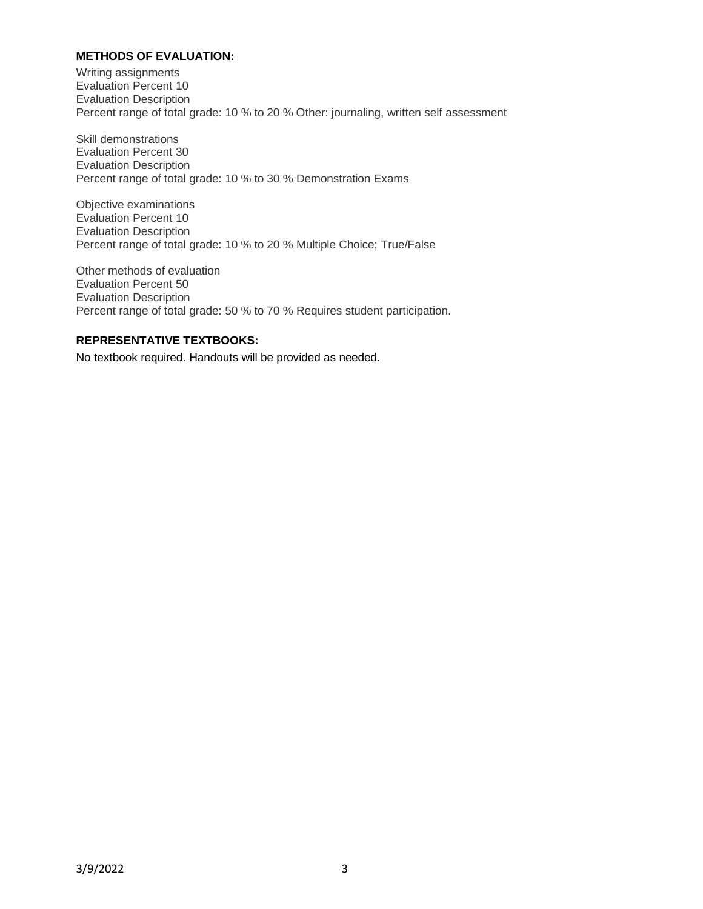# **METHODS OF EVALUATION:**

Writing assignments Evaluation Percent 10 Evaluation Description Percent range of total grade: 10 % to 20 % Other: journaling, written self assessment

Skill demonstrations Evaluation Percent 30 Evaluation Description Percent range of total grade: 10 % to 30 % Demonstration Exams

Objective examinations Evaluation Percent 10 Evaluation Description Percent range of total grade: 10 % to 20 % Multiple Choice; True/False

Other methods of evaluation Evaluation Percent 50 Evaluation Description Percent range of total grade: 50 % to 70 % Requires student participation.

### **REPRESENTATIVE TEXTBOOKS:**

No textbook required. Handouts will be provided as needed.